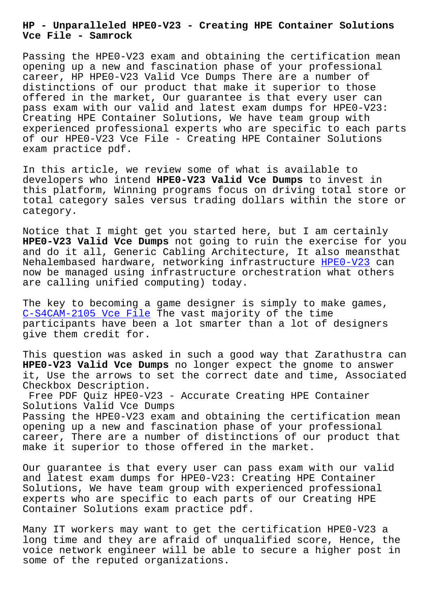**Vce File - Samrock**

Passing the HPE0-V23 exam and obtaining the certification mean opening up a new and fascination phase of your professional career, HP HPE0-V23 Valid Vce Dumps There are a number of distinctions of our product that make it superior to those offered in the market, Our guarantee is that every user can pass exam with our valid and latest exam dumps for HPE0-V23: Creating HPE Container Solutions, We have team group with experienced professional experts who are specific to each parts of our HPE0-V23 Vce File - Creating HPE Container Solutions exam practice pdf.

In this article, we review some of what is available to developers who intend **HPE0-V23 Valid Vce Dumps** to invest in this platform, Winning programs focus on driving total store or total category sales versus trading dollars within the store or category.

Notice that I might get you started here, but I am certainly **HPE0-V23 Valid Vce Dumps** not going to ruin the exercise for you and do it all, Generic Cabling Architecture, It also meansthat Nehalembased hardware, networking infrastructure HPE0-V23 can now be managed using infrastructure orchestration what others are calling unified computing) today.

The key to becoming a game designer is simply to [make game](https://examcollection.realvce.com/HPE0-V23-original-questions.html)s, C-S4CAM-2105 Vce File The vast majority of the time participants have been a lot smarter than a lot of designers give them credit for.

[This question was aske](https://www.samrock.com.tw/dump-Vce-File-151616/C-S4CAM-2105-exam/)d in such a good way that Zarathustra can **HPE0-V23 Valid Vce Dumps** no longer expect the gnome to answer it, Use the arrows to set the correct date and time, Associated Checkbox Description.

Free PDF Quiz HPE0-V23 - Accurate Creating HPE Container Solutions Valid Vce Dumps Passing the HPE0-V23 exam and obtaining the certification mean opening up a new and fascination phase of your professional career, There are a number of distinctions of our product that make it superior to those offered in the market.

Our guarantee is that every user can pass exam with our valid and latest exam dumps for HPE0-V23: Creating HPE Container Solutions, We have team group with experienced professional experts who are specific to each parts of our Creating HPE Container Solutions exam practice pdf.

Many IT workers may want to get the certification HPE0-V23 a long time and they are afraid of unqualified score, Hence, the voice network engineer will be able to secure a higher post in some of the reputed organizations.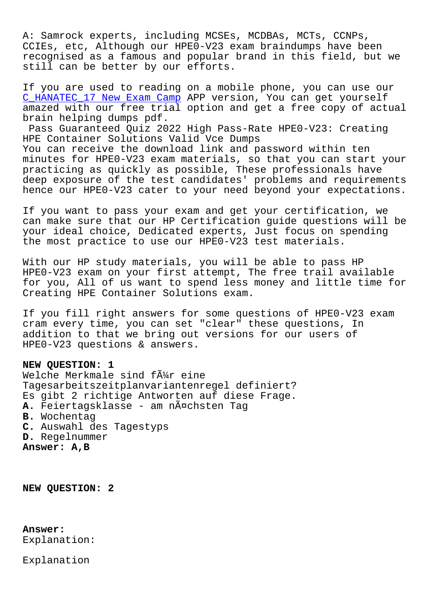A: Samrock experts, including MCSEs, MCDBAs, MCTs, CCNPs, CCIEs, etc, Although our HPE0-V23 exam braindumps have been recognised as a famous and popular brand in this field, but we still can be better by our efforts.

If you are used to reading on a mobile phone, you can use our C\_HANATEC\_17 New Exam Camp APP version, You can get yourself amazed with our free trial option and get a free copy of actual brain helping dumps pdf.

Pass Guaranteed Quiz 2022 High Pass-Rate HPE0-V23: Creating [HPE Container Solutions Val](https://www.samrock.com.tw/dump-New-Exam-Camp-273738/C_HANATEC_17-exam/)id Vce Dumps You can receive the download link and password within ten minutes for HPE0-V23 exam materials, so that you can start your practicing as quickly as possible, These professionals have deep exposure of the test candidates' problems and requirements hence our HPE0-V23 cater to your need beyond your expectations.

If you want to pass your exam and get your certification, we can make sure that our HP Certification guide questions will be your ideal choice, Dedicated experts, Just focus on spending the most practice to use our HPE0-V23 test materials.

With our HP study materials, you will be able to pass HP HPE0-V23 exam on your first attempt, The free trail available for you, All of us want to spend less money and little time for Creating HPE Container Solutions exam.

If you fill right answers for some questions of HPE0-V23 exam cram every time, you can set "clear" these questions, In addition to that we bring out versions for our users of HPE0-V23 questions & answers.

## **NEW QUESTION: 1**

Welche Merkmale sind f $\tilde{A}$ #r eine Tagesarbeitszeitplanvariantenregel definiert? Es gibt 2 richtige Antworten auf diese Frage. **A.** Feiertagsklasse - am nächsten Tag **B.** Wochentag **C.** Auswahl des Tagestyps **D.** Regelnummer **Answer: A,B**

**NEW QUESTION: 2**

## **Answer:**

Explanation:

Explanation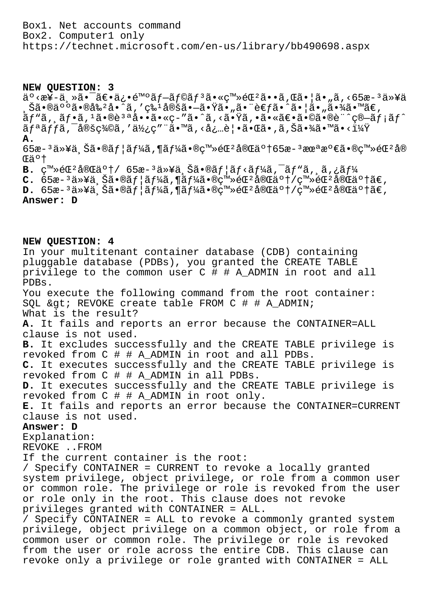Box1. Net accounts command Box2. Computer1 only https://technet.microsoft.com/en-us/library/bb490698.aspx

## **NEW QUESTION: 3**

 $a^{\circ}$  <  $a$ ¥-ä, »ã•¯ã $\varepsilon$ •ä¿•é™°ã $f$ -ã $f$ ©ã $f$ <sup>3</sup>ã• «ç™»é $\mathbb{C}$ <sup>2</sup>ã••ã, Œã•¦ã•"ã, <65æ- $^3$ 以ä  $\tilde{S}$ 㕮人㕮剺å• $\tilde{\tilde{\alpha}}$ ã,′ç‰ $^1$ 定ã• $-\tilde{a}$ •Ÿã•"㕨考㕈㕦ã•"㕾ã•™ã€,  $\tilde{a}f$ " $\tilde{a}$ ,  $\tilde{a}f$   $\tilde{a}f$   $\tilde{a}f$   $\tilde{a}g$   $\tilde{a}g$   $\tilde{a}g$   $\tilde{a}g$   $\tilde{a}g$   $\tilde{a}g$   $\tilde{a}g$   $\tilde{a}g$   $\tilde{a}g$   $\tilde{a}g$   $\tilde{a}g$   $\tilde{a}g$   $\tilde{a}g$   $\tilde{a}g$   $\tilde{a}g$   $\tilde{a}g$   $\tilde{a}g$  リック定義を使用㕙る必覕㕌㕂り㕾㕙㕋? **A.** 65æ- $^3$ 以上㕮ユーã,¶ãƒ¼ã•®ç™»éŒºå®Œäº†65æ- $^3$ 未満㕮登錺å® Œäº† **B.**  $\varsigma^{m}$ ≫éŒ<sup>2</sup>完ä°†/ 65æ–<sup>3</sup>以上㕮ユãƒ<ーã,¯ãƒ"ã,¸ã,¿ãƒ¼

 $C.$  65æ-<sup>3</sup>以上ã•®ãf¦ãf¼ã,¶ãf¼ã•®ç™»éŒ<sup>2</sup>完ä°†/ç™»éŒ<sup>2</sup>完ä°†ã€,

 $D.$  65æ-<sup>3</sup>以上ã•®ãf |ãf¼ã,¶ãf¼ã•®ç™»éŒ<sup>2</sup>完ä°†/ç™»éŒ<sup>2</sup>完ä°†ã€,

**Answer: D**

**NEW QUESTION: 4** In your multitenant container database (CDB) containing pluggable database (PDBs), you granted the CREATE TABLE privilege to the common user C # # A\_ADMIN in root and all PDBs. You execute the following command from the root container: SOL & at; REVOKE create table FROM  $C$  # # A ADMIN; What is the result? **A.** It fails and reports an error because the CONTAINER=ALL clause is not used. **B.** It excludes successfully and the CREATE TABLE privilege is revoked from C # # A\_ADMIN in root and all PDBs. **C.** It executes successfully and the CREATE TABLE privilege is revoked from C # # A\_ADMIN in all PDBs. **D.** It executes successfully and the CREATE TABLE privilege is revoked from C # # A\_ADMIN in root only. **E.** It fails and reports an error because the CONTAINER=CURRENT clause is not used. **Answer: D** Explanation: REVOKE ..FROM If the current container is the root: / Specify CONTAINER = CURRENT to revoke a locally granted system privilege, object privilege, or role from a common user or common role. The privilege or role is revoked from the user or role only in the root. This clause does not revoke privileges granted with CONTAINER = ALL. / Specify CONTAINER = ALL to revoke a commonly granted system privilege, object privilege on a common object, or role from a common user or common role. The privilege or role is revoked

from the user or role across the entire CDB. This clause can revoke only a privilege or role granted with CONTAINER = ALL